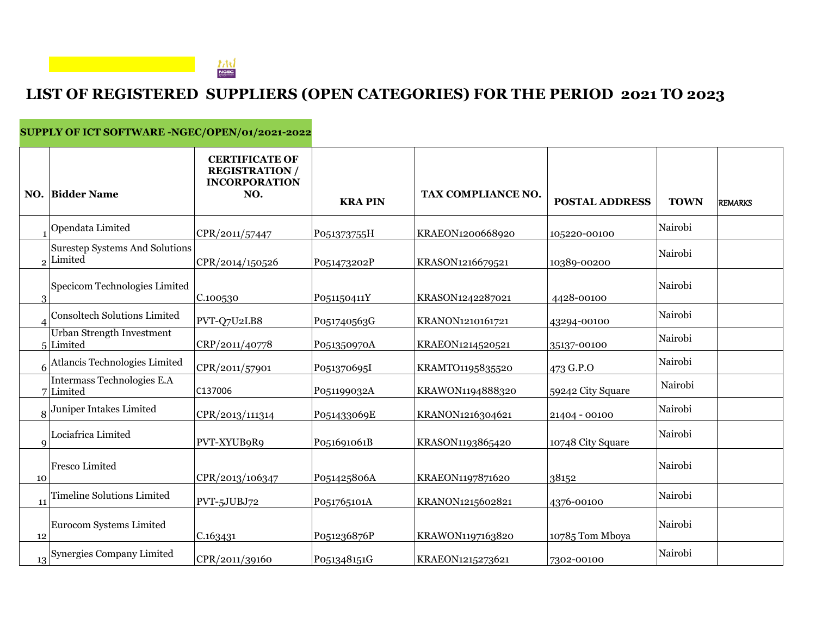$\frac{1}{NGEC}$ 

# **LIST OF REGISTERED SUPPLIERS (OPEN CATEGORIES) FOR THE PERIOD 2021 TO 2023**

#### **NO. Bidder Name CERTIFICATE OF REGISTRATION / INCORPORATION NO. KRA PIN TAX COMPLIANCE NO. POSTAL ADDRESS TOWN** REMARKS 1 Opendata Limited CPR/2011/57447 P051373755H KRAEON1200668920 105220-00100 Nairobi 2 Limited Surestep Systems And Solutions CPR/2014/150526 P051473202P KRASON1216679521 10389-00200 Nairobi 3 Specicom Technologies Limited C.100530 P051150411Y KRASON1242287021 4428-00100 Nairobi 4 Consoltech Solutions Limited  $|_{\text{PVT-Q7U2LBB}}$   $|_{\text{P051740563G}}$  KRANON1210161721 43294-00100 Nairobi 5 Limited Urban Strength Investment Limited CRP/2011/40778 P051350970A KRAEON1214520521 35137-00100 Nairobi 6 Atlancis Technologies Limited CPR/2011/57901 P051370695I KRAMTO1195835520 473 G.P.O Nairobi 7 Limited Intermass Technologies E.A Limited C137006  $\begin{array}{|c|c|c|c|c|c|c|c|}\n\hline \text{Limited} & \text{C137006} & \text{C137006} & \text{P051199032A} & \text{KRAWON1194888320} & \text{S9242 City Square} & \text{Nairobi} \end{array}$ 8<sup>Juniper</sup> Intakes Limited  $CPR/2013/111314$  P051433069E KRANON1216304621 21404 - 00100 Nairobi  $\Omega$ Lociafrica Limited PVT-XYUB9R9 P051691061B KRASON1193865420 10748 City Square Nairobi 10 Fresco Limited CPR/2013/106347 P051425806A KRAEON1197871620 38152 Nairobi 11 Timeline Solutions Limited  $\vert_{\rm PVT\text{-}5JUBJ72} \vert_{\rm P051765101A} \quad \vert_{\rm KRAMON1215602821} \quad \vert_{\rm 4376-00100} \quad \vert_{\rm Nairobi}$ 12 Eurocom Systems Limited C.163431 P051236876P KRAWON1197163820 10785 Tom Mboya Nairobi 13 Synergies Company Limited  $CPR/2011/39160$   $P051348151G$  KRAEON1215273621 7302-00100 Nairobi

### **SUPPLY OF ICT SOFTWARE -NGEC/OPEN/01/2021-2022**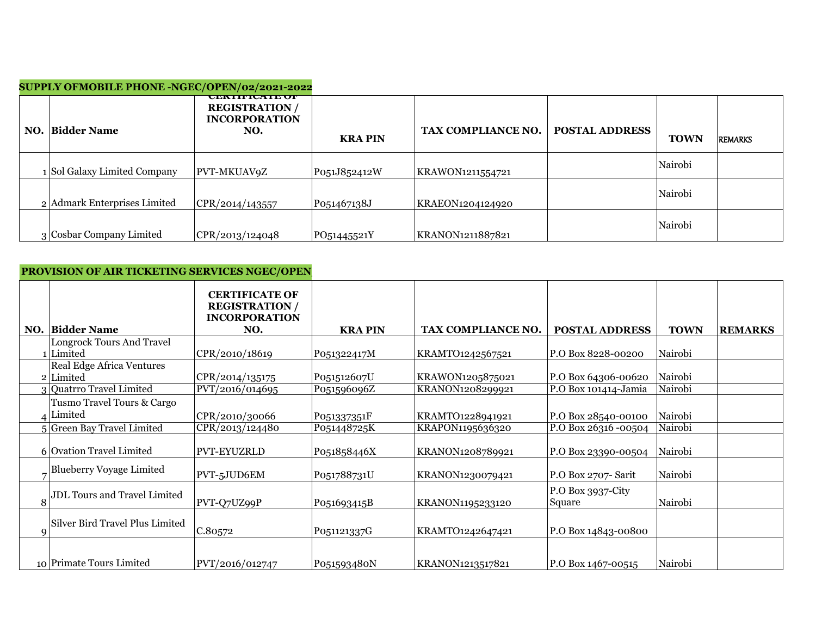| <b>SUPPLY OFMOBILE PHONE -NGEC/OPEN/02/2021-2022</b> |                                                             |               |                                             |                               |
|------------------------------------------------------|-------------------------------------------------------------|---------------|---------------------------------------------|-------------------------------|
|                                                      | <b>UMINUAIRUN</b><br><b>REGISTRATION</b> /<br>INCORPORATION |               |                                             |                               |
| NO. Bidder Name                                      | NO.                                                         | <b>KRAPIN</b> | TAX COMPLIANCE NO.<br><b>POSTAL ADDRESS</b> | <b>TOWN</b><br><b>REMARKS</b> |
| Sol Galaxy Limited Company                           | PVT-MKUAV9Z                                                 | P051J852412W  | KRAWON1211554721                            | Nairobi                       |
| 2 Admark Enterprises Limited                         | CPR/2014/143557                                             | P051467138J   | KRAEON1204124920                            | Nairobi                       |
| 3 Cosbar Company Limited                             | CPR/2013/124048                                             | PO51445521Y   | KRANON1211887821                            | Nairobi                       |

# PROVISION OF AIR TICKETING SERVICES NGEC/OPEN

|                                            | <b>CERTIFICATE OF</b><br><b>REGISTRATION /</b> |               |                    |                             |                               |
|--------------------------------------------|------------------------------------------------|---------------|--------------------|-----------------------------|-------------------------------|
| <b>Bidder Name</b><br>NO.                  | <b>INCORPORATION</b><br>NO.                    | <b>KRAPIN</b> | TAX COMPLIANCE NO. | <b>POSTAL ADDRESS</b>       | <b>TOWN</b><br><b>REMARKS</b> |
| <b>Longrock Tours And Travel</b>           |                                                |               |                    |                             |                               |
| Limited                                    | CPR/2010/18619                                 | P051322417M   | KRAMTO1242567521   | P.O Box 8228-00200          | Nairobi                       |
| Real Edge Africa Ventures                  |                                                |               |                    |                             |                               |
| 2 Limited                                  | CPR/2014/135175                                | P051512607U   | KRAWON1205875021   | P.O Box 64306-00620         | Nairobi                       |
| 3 Quatrro Travel Limited                   | PVT/2016/014695                                | P051596096Z   | KRANON1208299921   | P.O Box 101414-Jamia        | Nairobi                       |
| Tusmo Travel Tours & Cargo<br>$_4$ Limited | CPR/2010/30066                                 | P051337351F   | KRAMTO1228941921   | P.O Box 28540-00100         | Nairobi                       |
| 5 Green Bay Travel Limited                 | CPR/2013/124480                                | P051448725K   | KRAPON1195636320   | P.O Box 26316 -00504        | Nairobi                       |
| 6 Ovation Travel Limited                   | <b>PVT-EYUZRLD</b>                             | P051858446X   | KRANON1208789921   | P.O Box 23390-00504         | Nairobi                       |
| <b>Blueberry Voyage Limited</b>            | PVT-5JUD6EM                                    | P051788731U   | KRANON1230079421   | P.O Box 2707-Sarit          | Nairobi                       |
| JDL Tours and Travel Limited<br>8          | PVT-Q7UZ99P                                    | P051693415B   | KRANON1195233120   | P.O Box 3937-City<br>Square | Nairobi                       |
| Silver Bird Travel Plus Limited<br>q       | C.80572                                        | P051121337G   | KRAMTO1242647421   | P.O Box 14843-00800         |                               |
| 10 Primate Tours Limited                   | PVT/2016/012747                                | P051593480N   | KRANON1213517821   | P.O Box 1467-00515          | Nairobi                       |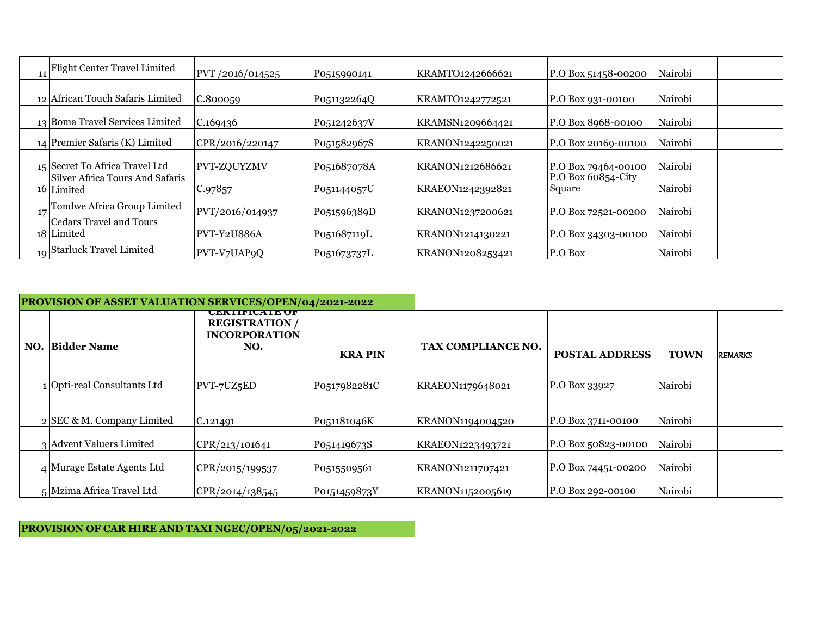| Flight Center Travel Limited<br>11            | PVT /2016/014525   | P0515990141 | KRAMTO1242666621 | P.O Box 51458-00200                        | Nairobi |
|-----------------------------------------------|--------------------|-------------|------------------|--------------------------------------------|---------|
| 12 African Touch Safaris Limited              | C.800059           | P051132264Q | KRAMTO1242772521 | P.O Box 931-00100                          | Nairobi |
| 13 Boma Travel Services Limited               | C.169436           | P051242637V | KRAMSN1209664421 | P.O Box 8968-00100                         | Nairobi |
| 14 Premier Safaris (K) Limited                | CPR/2016/220147    | P051582967S | KRANON1242250021 | P.O Box 20169-00100                        | Nairobi |
| 15 Secret To Africa Travel Ltd                | <b>PVT-ZQUYZMV</b> | P051687078A | KRANON1212686621 | P.O Box 79464-00100                        | Nairobi |
| Silver Africa Tours And Safaris<br>16 Limited | C.97857            | P051144057U | KRAEON1242392821 | P.O Box $608\overline{54}$ -City<br>Square | Nairobi |
| Tondwe Africa Group Limited<br>17             | PVT/2016/014937    | P051596389D | KRANON1237200621 | P.O Box 72521-00200                        | Nairobi |
| <b>Cedars Travel and Tours</b><br>18 Limited  | PVT-Y2U886A        | P051687119L | KRANON1214130221 | P.O Box 34303-00100                        | Nairobi |
| 19 Starluck Travel Limited                    | PVT-V7UAP9Q        | P051673737L | KRANON1208253421 | $P.O$ Box                                  | Nairobi |

|     | PROVISION OF ASSET VALUATION SERVICES/OPEN/04/2021-2022 |                                                                               |               |                    |                       |             |                |
|-----|---------------------------------------------------------|-------------------------------------------------------------------------------|---------------|--------------------|-----------------------|-------------|----------------|
| NO. | <b>Bidder Name</b>                                      | <b>CERTIFICATE OF</b><br><b>REGISTRATION /</b><br><b>INCORPORATION</b><br>NO. | <b>KRAPIN</b> | TAX COMPLIANCE NO. | <b>POSTAL ADDRESS</b> | <b>TOWN</b> | <b>REMARKS</b> |
|     | Opti-real Consultants Ltd                               | PVT-7UZ5ED                                                                    | P0517982281C  | KRAEON1179648021   | P.O Box 33927         | Nairobi     |                |
|     |                                                         |                                                                               |               |                    |                       |             |                |
|     | $2$ SEC & M. Company Limited                            | C.121491                                                                      | P051181046K   | KRANON1194004520   | P.O Box 3711-00100    | Nairobi     |                |
|     | 3 Advent Valuers Limited                                | CPR/213/101641                                                                | P051419673S   | KRAEON1223493721   | P.O Box 50823-00100   | Nairobi     |                |
|     | $4$ Murage Estate Agents Ltd                            | CPR/2015/199537                                                               | P0515509561   | KRANON1211707421   | P.O Box 74451-00200   | Nairobi     |                |
|     | 5 Mzima Africa Travel Ltd                               | CPR/2014/138545                                                               | P0151459873Y  | KRANON1152005619   | P.O Box 292-00100     | Nairobi     |                |

**PROVISION OF CAR HIRE AND TAXI NGEC/OPEN/05/2021-2022**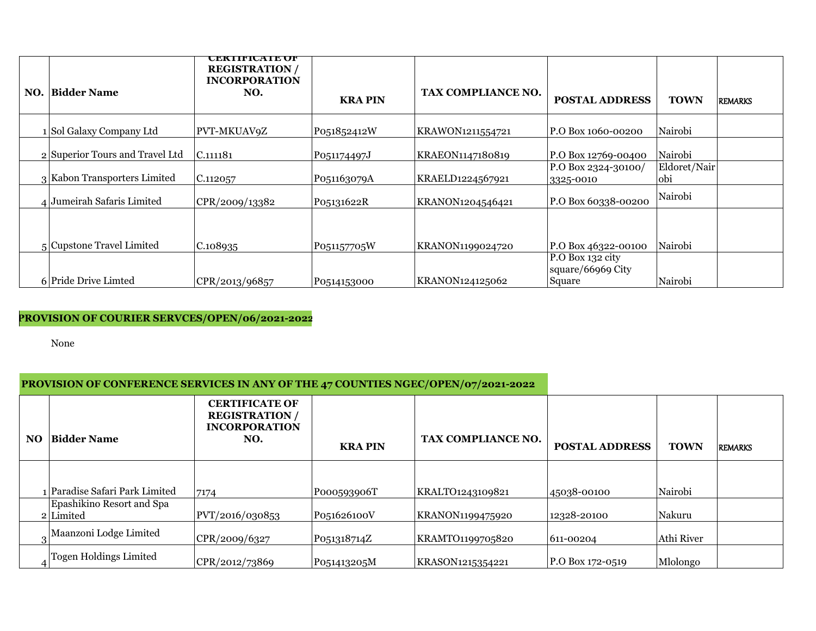| NO. | <b>Bidder Name</b>              | <b>CERTIFICATE OF</b><br><b>REGISTRATION /</b><br><b>INCORPORATION</b><br>NO. | <b>KRAPIN</b> | <b>TAX COMPLIANCE NO.</b> | <b>POSTAL ADDRESS</b>                 | <b>TOWN</b>          | <b>REMARKS</b> |
|-----|---------------------------------|-------------------------------------------------------------------------------|---------------|---------------------------|---------------------------------------|----------------------|----------------|
|     |                                 |                                                                               |               |                           |                                       |                      |                |
|     | 1 Sol Galaxy Company Ltd        | PVT-MKUAV9Z                                                                   | P051852412W   | KRAWON1211554721          | P.O Box 1060-00200                    | Nairobi              |                |
|     | 2 Superior Tours and Travel Ltd | C.111181                                                                      | P051174497J   | KRAEON1147180819          | P.O Box 12769-00400                   | Nairobi              |                |
|     | 3 Kabon Transporters Limited    | C.112057                                                                      | P051163079A   | KRAELD1224567921          | P.O Box 2324-30100/<br>3325-0010      | Eldoret/Nair<br>lobi |                |
|     | $4$ Jumeirah Safaris Limited    | CPR/2009/13382                                                                | P05131622R    | KRANON1204546421          | P.O Box 60338-00200                   | Nairobi              |                |
|     |                                 |                                                                               |               |                           |                                       |                      |                |
|     | 5 Cupstone Travel Limited       | C.108935                                                                      | P051157705W   | KRANON1199024720          | P.O Box 46322-00100                   | Nairobi              |                |
|     |                                 |                                                                               |               |                           | P.O Box 132 city<br>square/66969 City |                      |                |
|     | 6 Pride Drive Limted            | CPR/2013/96857                                                                | P0514153000   | KRANON124125062           | Square                                | Nairobi              |                |

# **PROVISION OF COURIER SERVCES/OPEN/06/2021-2022**

None

# **PROVISION OF CONFERENCE SERVICES IN ANY OF THE 47 COUNTIES NGEC/OPEN/07/2021-2022**

| NO. | <b>Bidder Name</b>                     | <b>CERTIFICATE OF</b><br><b>REGISTRATION /</b><br><b>INCORPORATION</b><br>NO. | <b>KRAPIN</b> | <b>TAX COMPLIANCE NO.</b> | <b>POSTAL ADDRESS</b> | <b>TOWN</b> | <b>REMARKS</b> |
|-----|----------------------------------------|-------------------------------------------------------------------------------|---------------|---------------------------|-----------------------|-------------|----------------|
|     | Paradise Safari Park Limited           | 7174                                                                          | P000593906T   | KRALTO1243109821          | 45038-00100           | Nairobi     |                |
|     | Epashikino Resort and Spa<br>2 Limited | PVT/2016/030853                                                               | P051626100V   | <b>KRANON1199475920</b>   | 12328-20100           | Nakuru      |                |
|     | Maanzoni Lodge Limited                 | CPR/2009/6327                                                                 | P051318714Z   | KRAMTO1199705820          | 611-00204             | Athi River  |                |
|     | <b>Togen Holdings Limited</b>          | CPR/2012/73869                                                                | P051413205M   | KRASON1215354221          | P.O Box 172-0519      | Mlolongo    |                |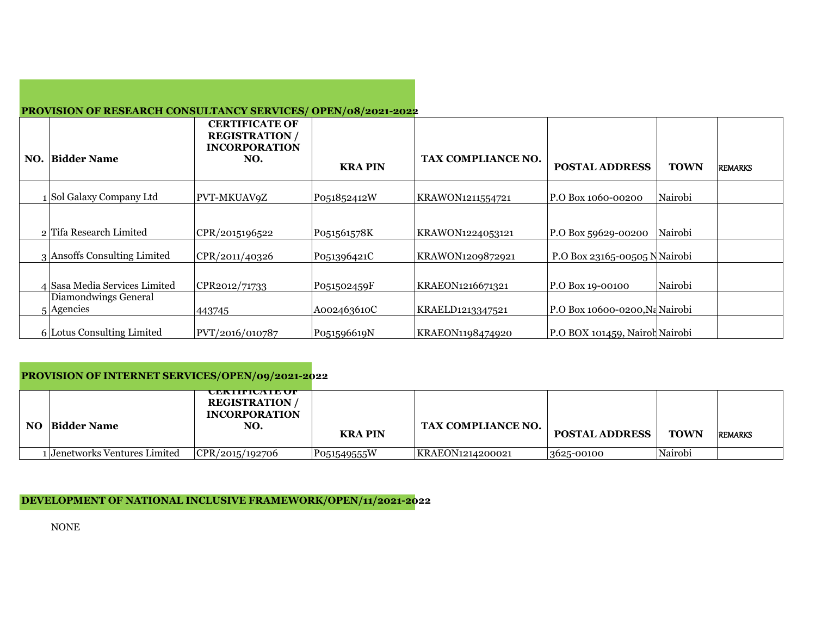#### **PROVISION OF RESEARCH CONSULTANCY SERVICES/ OPEN/08/2021-2022**

|     |                               | <b>CERTIFICATE OF</b><br><b>REGISTRATION /</b> |               |                    |                                |                        |
|-----|-------------------------------|------------------------------------------------|---------------|--------------------|--------------------------------|------------------------|
| NO. | <b>Bidder Name</b>            | <b>INCORPORATION</b><br>NO.                    | <b>KRAPIN</b> | TAX COMPLIANCE NO. | <b>POSTAL ADDRESS</b>          | <b>TOWN</b><br>REMARKS |
|     | 1 Sol Galaxy Company Ltd      | PVT-MKUAV9Z                                    | P051852412W   | KRAWON1211554721   | P.O Box 1060-00200             | Nairobi                |
|     |                               |                                                |               |                    |                                |                        |
|     | 2 Tifa Research Limited       | CPR/2015196522                                 | P051561578K   | KRAWON1224053121   | P.O Box 59629-00200            | Nairobi                |
|     | 3 Ansoffs Consulting Limited  | CPR/2011/40326                                 | P051396421C   | KRAWON1209872921   | P.O Box 23165-00505 NNairobi   |                        |
|     |                               |                                                |               |                    |                                |                        |
|     | 4 Sasa Media Services Limited | CPR2012/71733                                  | P051502459F   | KRAEON1216671321   | P.O Box 19-00100               | Nairobi                |
|     | Diamondwings General          |                                                |               |                    |                                |                        |
|     | $5$ Agencies                  | 443745                                         | A002463610C   | KRAELD1213347521   | P.O Box 10600-0200, Na Nairobi |                        |
|     | 6 Lotus Consulting Limited    | PVT/2016/010787                                | P051596619N   | KRAEON1198474920   | P.O BOX 101459, Nairol Nairobi |                        |

# **PROVISION OF INTERNET SERVICES/OPEN/09/2021-2022**

| NO | Bidder Name                   | <b>ULKHIFIUALE UF</b><br><b>REGISTRATION /</b><br><b>INCORPORATION</b><br>NO. | <b>KRAPIN</b> | TAX COMPLIANCE NO.      | <b>POSTAL ADDRESS</b> | <b>TOWN</b> | <b>REMARKS</b> |
|----|-------------------------------|-------------------------------------------------------------------------------|---------------|-------------------------|-----------------------|-------------|----------------|
|    |                               |                                                                               |               |                         |                       |             |                |
|    | । Jenetworks Ventures Limited | CPR/2015/192706                                                               | P051549555W   | <b>KRAEON1214200021</b> | 3625-00100            | Nairobi     |                |

# **DEVELOPMENT OF NATIONAL INCLUSIVE FRAMEWORK/OPEN/11/2021-2022**

NONE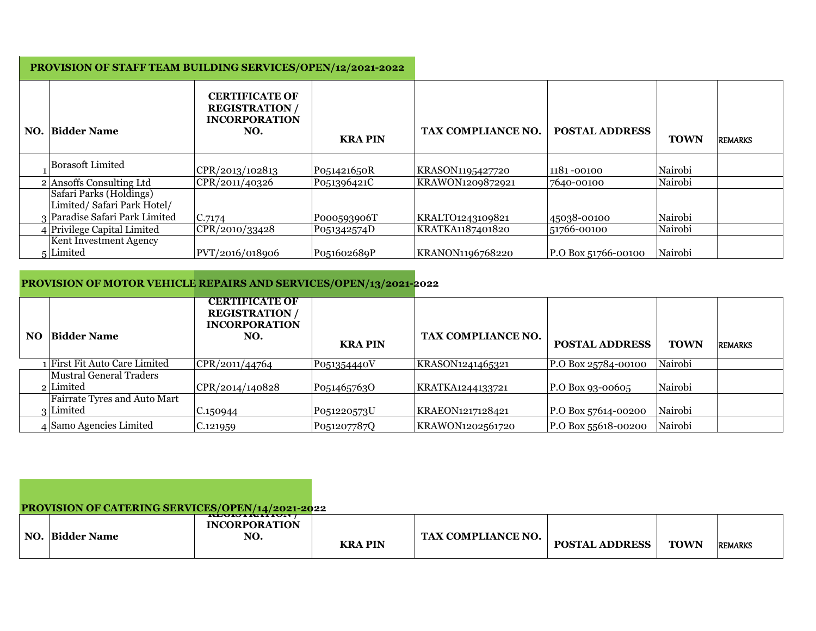# **PROVISION OF STAFF TEAM BUILDING SERVICES/OPEN/12/2021-2022**

| <b>NO.</b> Bidder Name         | <b>CERTIFICATE OF</b><br><b>REGISTRATION /</b><br><b>INCORPORATION</b><br>NO. | <b>KRAPIN</b> | <b>TAX COMPLIANCE NO.</b> | <b>POSTAL ADDRESS</b> | <b>TOWN</b> | <b>REMARKS</b> |
|--------------------------------|-------------------------------------------------------------------------------|---------------|---------------------------|-----------------------|-------------|----------------|
| Borasoft Limited               | CPR/2013/102813                                                               | P051421650R   | KRASON1195427720          | 1181-00100            | Nairobi     |                |
| $2$ Ansoffs Consulting Ltd     | CPR/2011/40326                                                                | P051396421C   | KRAWON1209872921          | 7640-00100            | Nairobi     |                |
| Safari Parks (Holdings)        |                                                                               |               |                           |                       |             |                |
| Limited/Safari Park Hotel/     |                                                                               |               |                           |                       |             |                |
| 3 Paradise Safari Park Limited | C.7174                                                                        | P000593906T   | KRALTO1243109821          | 45038-00100           | Nairobi     |                |
| 4 Privilege Capital Limited    | CPR/2010/33428                                                                | P051342574D   | KRATKA1187401820          | 51766-00100           | Nairobi     |                |
| Kent Investment Agency         |                                                                               |               |                           |                       |             |                |
| 5 Limited                      | PVT/2016/018906                                                               | P051602689P   | KRANON1196768220          | P.O Box 51766-00100   | Nairobi     |                |

# **PROVISION OF MOTOR VEHICLE REPAIRS AND SERVICES/OPEN/13/2021-2022**

| <b>Bidder Name</b><br>NO.           | <b>CERTIFICATE OF</b><br><b>REGISTRATION /</b><br><b>INCORPORATION</b><br>NO. | <b>KRAPIN</b> | TAX COMPLIANCE NO. | <b>POSTAL ADDRESS</b> | <b>TOWN</b> | <b>REMARKS</b> |
|-------------------------------------|-------------------------------------------------------------------------------|---------------|--------------------|-----------------------|-------------|----------------|
| <b>First Fit Auto Care Limited</b>  | CPR/2011/44764                                                                | P051354440V   | KRASON1241465321   | P.O Box 25784-00100   | Nairobi     |                |
| <b>Mustral General Traders</b>      |                                                                               |               |                    |                       |             |                |
| 2 Limited                           | CPR/2014/140828                                                               | P051465763O   | KRATKA1244133721   | P.O Box 93-00605      | Nairobi     |                |
| <b>Fairrate Tyres and Auto Mart</b> |                                                                               |               |                    |                       |             |                |
| 3 Limited                           | C.150944                                                                      | P051220573U   | KRAEON1217128421   | P.O Box 57614-00200   | Nairobi     |                |
| 4 Samo Agencies Limited             | C.121959                                                                      | P051207787Q   | KRAWON1202561720   | P.O Box 55618-00200   | Nairobi     |                |

PROVISION OF CATERING SERVICES/OPEN/14/2021-2022

|             |                                                   |                                                                           |                    |                       | <b>REMARKS</b> |
|-------------|---------------------------------------------------|---------------------------------------------------------------------------|--------------------|-----------------------|----------------|
|             |                                                   |                                                                           |                    |                       |                |
| Bidder Name | <b>NEURTRATION</b><br><b>INCORPORATION</b><br>NO. | <u>TWO USION OF CATENING SERVICES/OF EN/I4/2021-2022</u><br><b>KRAPIN</b> | TAX COMPLIANCE NO. | <b>POSTAL ADDRESS</b> | <b>TOWN</b>    |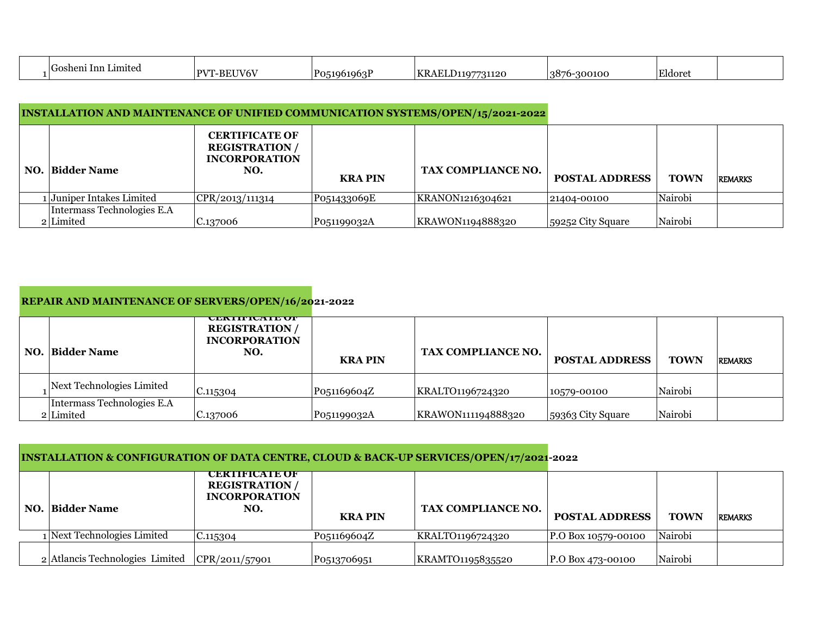| Lacheni Inni<br>Limited | -REI IV6V<br>DTTT | ∍∩ ا<br>ചി' | <b>KRAE</b><br>$\cdots$<br>31120<br>11 O | →Ωr<br>-300100 | <b>TIL</b><br>∶ldoret |  |
|-------------------------|-------------------|-------------|------------------------------------------|----------------|-----------------------|--|
|                         |                   |             |                                          |                |                       |  |

# **INSTALLATION AND MAINTENANCE OF UNIFIED COMMUNICATION SYSTEMS/OPEN/15/2021-2022**

| NO. Bidder Name            | <b>CERTIFICATE OF</b><br><b>REGISTRATION</b> /<br><b>INCORPORATION</b><br>NO. | <b>KRAPIN</b> | <b>TAX COMPLIANCE NO.</b> | <b>POSTAL ADDRESS</b> | <b>TOWN</b> | <b>REMARKS</b> |
|----------------------------|-------------------------------------------------------------------------------|---------------|---------------------------|-----------------------|-------------|----------------|
| Juniper Intakes Limited    | CPR/2013/111314                                                               | P051433069E   | KRANON1216304621          | 21404-00100           | Nairobi     |                |
| Intermass Technologies E.A |                                                                               |               |                           |                       |             |                |
| 2 Limited                  | C.137006                                                                      | P051199032A   | KRAWON1194888320          | 59252 City Square     | Nairobi     |                |

### **REPAIR AND MAINTENANCE OF SERVERS/OPEN/16/2021-2022**

| NO. | <b>Bidder Name</b>                        | <b>UENTIFICATE UN</b><br><b>REGISTRATION /</b><br><b>INCORPORATION</b><br>NO. | <b>KRAPIN</b> | TAX COMPLIANCE NO. | <b>POSTAL ADDRESS</b> | <b>TOWN</b> | <b>REMARKS</b> |
|-----|-------------------------------------------|-------------------------------------------------------------------------------|---------------|--------------------|-----------------------|-------------|----------------|
|     | Next Technologies Limited                 | C.115304                                                                      | P051169604Z   | KRALTO1196724320   | 10579-00100           | Nairobi     |                |
|     | Intermass Technologies E.A<br>$2$ Limited | C.137006                                                                      | P051199032A   | KRAWON111194888320 | 59363 City Square     | Nairobi     |                |

## **INSTALLATION & CONFIGURATION OF DATA CENTRE, CLOUD & BACK-UP SERVICES/OPEN/17/2021-2022**

| <b>NO.</b> Bidder Name                              | CERTIFICATE OF<br><b>REGISTRATION /</b><br><b>INCORPORATION</b><br>NO. | <b>KRAPIN</b> | <b>TAX COMPLIANCE NO.</b> | <b>POSTAL ADDRESS</b> | <b>TOWN</b> | <b>REMARKS</b> |
|-----------------------------------------------------|------------------------------------------------------------------------|---------------|---------------------------|-----------------------|-------------|----------------|
| Next Technologies Limited                           | C.115304                                                               | P051169604Z   | KRALTO1196724320          | P.O Box 10579-00100   | Nairobi     |                |
| $2$ Atlancis Technologies Limited $ CPR/2011/57901$ |                                                                        | P0513706951   | KRAMTO1195835520          | P.O Box 473-00100     | Nairobi     |                |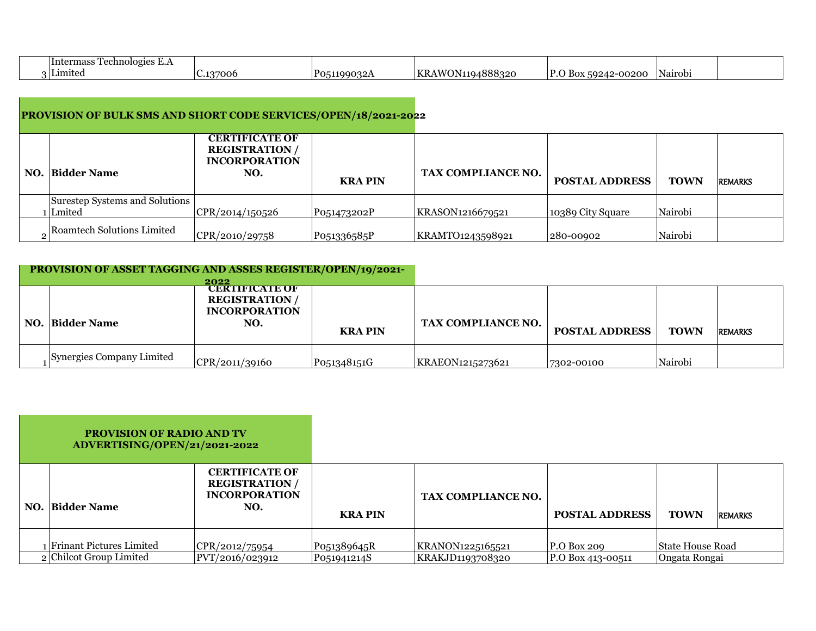| Intermass | $\sim$ Technologies E.A.                 |                      |                                                     |                                      |         |  |
|-----------|------------------------------------------|----------------------|-----------------------------------------------------|--------------------------------------|---------|--|
| Lımıtec   | .137006<br>$\mathcal{L}$ . $\mathcal{L}$ | $P_{05}$<br>'199032A | 194888320<br><b>KRAWON</b><br>1 N 1<br>$\mathbf{v}$ | $D \cap$<br>) Box 59242-00200<br>. . | Nairobi |  |

# **PROVISION OF BULK SMS AND SHORT CODE SERVICES/OPEN/18/2021-2022**

| NO. | <b>Bidder Name</b>                       | <b>CERTIFICATE OF</b><br><b>REGISTRATION</b> /<br><b>INCORPORATION</b><br>NO. | <b>KRAPIN</b> | <b>TAX COMPLIANCE NO.</b> | <b>POSTAL ADDRESS</b> | <b>TOWN</b> | REMARKS |
|-----|------------------------------------------|-------------------------------------------------------------------------------|---------------|---------------------------|-----------------------|-------------|---------|
|     | Surestep Systems and Solutions<br>Lmited | CPR/2014/150526                                                               | P051473202P   | KRASON1216679521          | 10389 City Square     | Nairobi     |         |
|     | <b>Roamtech Solutions Limited</b>        | CPR/2010/29758                                                                | P051336585P   | KRAMTO1243598921          | 280-00902             | Nairobi     |         |

# **PROVISION OF ASSET TAGGING AND ASSES REGISTER/OPEN/19/2021-**

| NO. Bidder Name           | 2022<br>CERTIFICATE OF<br><b>REGISTRATION /</b><br><b>INCORPORATION</b><br>NO. | <b>KRAPIN</b> | TAX COMPLIANCE NO. | <b>POSTAL ADDRESS</b> | <b>TOWN</b> | <b>REMARKS</b> |
|---------------------------|--------------------------------------------------------------------------------|---------------|--------------------|-----------------------|-------------|----------------|
| Synergies Company Limited | CPR/2011/39160                                                                 | P051348151G   | KRAEON1215273621   | 7302-00100            | Nairobi     |                |

| <b>PROVISION OF RADIO AND TV</b><br>ADVERTISING/OPEN/21/2021-2022 |                                                            |                                                                               |                            |                                      |                                  |                                          |                |
|-------------------------------------------------------------------|------------------------------------------------------------|-------------------------------------------------------------------------------|----------------------------|--------------------------------------|----------------------------------|------------------------------------------|----------------|
|                                                                   | NO. Bidder Name                                            | <b>CERTIFICATE OF</b><br><b>REGISTRATION /</b><br><b>INCORPORATION</b><br>NO. | <b>KRAPIN</b>              | TAX COMPLIANCE NO.                   | <b>POSTAL ADDRESS</b>            | <b>TOWN</b>                              | <b>REMARKS</b> |
|                                                                   | <b>Frinant Pictures Limited</b><br>2 Chilcot Group Limited | CPR/2012/75954<br>PVT/2016/023912                                             | P051389645R<br>P051941214S | KRANON1225165521<br>KRAKJD1193708320 | P.O Box 209<br>P.O Box 413-00511 | <b>State House Road</b><br>Ongata Rongai |                |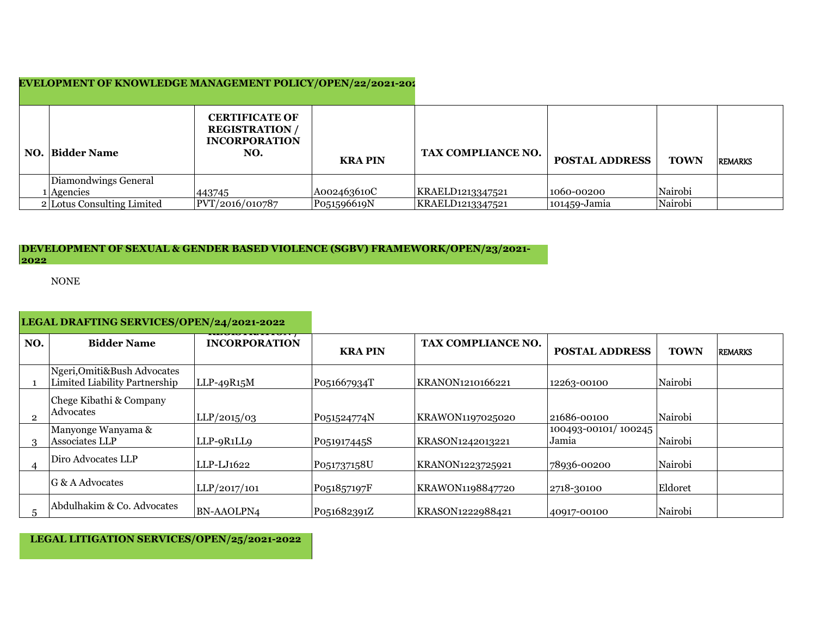| <b>EVELOPMENT OF KNOWLEDGE MANAGEMENT POLICY/OPEN/22/2021-202</b> |                                                                               |               |                    |                       |             |                |
|-------------------------------------------------------------------|-------------------------------------------------------------------------------|---------------|--------------------|-----------------------|-------------|----------------|
| NO. Bidder Name                                                   | <b>CERTIFICATE OF</b><br><b>REGISTRATION /</b><br><b>INCORPORATION</b><br>NO. | <b>KRAPIN</b> | TAX COMPLIANCE NO. | <b>POSTAL ADDRESS</b> | <b>TOWN</b> | <b>REMARKS</b> |
| Diamondwings General                                              |                                                                               |               |                    |                       |             |                |
| Agencies                                                          | 443745                                                                        | A002463610C   | KRAELD1213347521   | 1060-00200            | Nairobi     |                |
| 2 Lotus Consulting Limited                                        | PVT/2016/010787                                                               | P051596619N   | KRAELD1213347521   | 101459-Jamia          | Nairobi     |                |

#### **DEVELOPMENT OF SEXUAL & GENDER BASED VIOLENCE (SGBV) FRAMEWORK/OPEN/23/2021- 2022**

NONE

#### $(24/2021 - 2022)$ **LEGAL DRAFTING SERVICES/OPEN/24/2021-2022**

| NO.            | <b>Bidder Name</b>                                           | <b>INCORPORATION</b> | <b>KRAPIN</b> | TAX COMPLIANCE NO.      | <b>POSTAL ADDRESS</b>        | <b>TOWN</b> | <b>REMARKS</b> |
|----------------|--------------------------------------------------------------|----------------------|---------------|-------------------------|------------------------------|-------------|----------------|
|                | Ngeri, Omiti&Bush Advocates<br>Limited Liability Partnership | $LLP-49R15M$         | P051667934T   | KRANON1210166221        | 12263-00100                  | Nairobi     |                |
| $\overline{2}$ | Chege Kibathi & Company<br>Advocates                         | LLP/2015/03          | P051524774N   | KRAWON1197025020        | 21686-00100                  | Nairobi     |                |
| 3              | Manyonge Wanyama &<br>Associates LLP                         | LLP-9R1LL9           | P051917445S   | KRASON1242013221        | 100493-00101/100245<br>Jamia | Nairobi     |                |
| 4              | Diro Advocates LLP                                           | $LLP-I4I1622$        | P051737158U   | KRANON1223725921        | 78936-00200                  | Nairobi     |                |
|                | G & A Advocates                                              | LLP/2017/101         | P051857197F   | <b>KRAWON1198847720</b> | 2718-30100                   | Eldoret     |                |
|                | Abdulhakim & Co. Advocates                                   | BN-AAOLPN4           | P051682391Z   | KRASON1222988421        | 40917-00100                  | Nairobi     |                |

**LEGAL LITIGATION SERVICES/OPEN/25/2021-2022**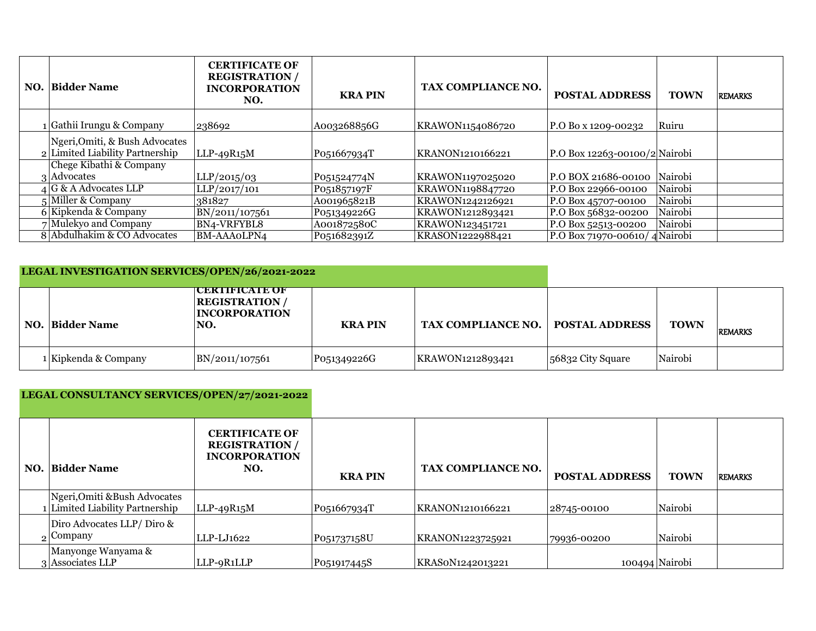| NO. Bidder Name                 | <b>CERTIFICATE OF</b><br><b>REGISTRATION /</b><br><b>INCORPORATION</b><br>NO. | <b>KRAPIN</b> | TAX COMPLIANCE NO.      | <b>POSTAL ADDRESS</b>         | <b>TOWN</b> | <b>REMARKS</b> |
|---------------------------------|-------------------------------------------------------------------------------|---------------|-------------------------|-------------------------------|-------------|----------------|
| Gathii Irungu & Company         | 238692                                                                        | A003268856G   | KRAWON1154086720        | P.O Bo x 1209-00232           | Ruiru       |                |
| Ngeri, Omiti, & Bush Advocates  |                                                                               |               |                         |                               |             |                |
| 2 Limited Liability Partnership | $LLP-49R15M$                                                                  | P051667934T   | KRANON1210166221        | P.O Box 12263-00100/2 Nairobi |             |                |
| Chege Kibathi & Company         |                                                                               |               |                         |                               |             |                |
| 3 Advocates                     | LLP/2015/03                                                                   | P051524774N   | KRAWON1197025020        | P.O BOX 21686-00100           | Nairobi     |                |
| $4 G & A$ Advocates LLP         | LLP/2017/101                                                                  | P051857197F   | <b>KRAWON1198847720</b> | P.O Box 22966-00100           | Nairobi     |                |
| $\sqrt{5}$ Miller & Company     | 381827                                                                        | A001965821B   | KRAWON1242126921        | P.O Box 45707-00100           | Nairobi     |                |
| 6 Kipkenda & Company            | BN/2011/107561                                                                | P051349226G   | KRAWON1212893421        | P.O Box 56832-00200           | Nairobi     |                |
| 7 Mulekyo and Company           | <b>BN4-VRFYBL8</b>                                                            | A001872580C   | <b>KRAWON123451721</b>  | P.O Box 52513-00200           | Nairobi     |                |
| 8 Abdulhakim & CO Advocates     | <b>BM-AAA0LPN4</b>                                                            | P051682391Z   | KRASON1222988421        | P.O Box 71970-00610/4 Nairobi |             |                |

# **LEGAL INVESTIGATION SERVICES/OPEN/26/2021-2022**

| NO. Bidder Name      | ICERTIFICATE OF<br><b>REGISTRATION /</b><br><b>INCORPORATION</b><br>NO. | <b>KRA PIN</b> | TAX COMPLIANCE NO. | <b>POSTAL ADDRESS</b> | <b>TOWN</b> | <b>REMARKS</b> |
|----------------------|-------------------------------------------------------------------------|----------------|--------------------|-----------------------|-------------|----------------|
| 1 Kipkenda & Company | BN/2011/107561                                                          | P051349226G    | KRAWON1212893421   | 56832 City Square     | Nairobi     |                |

# **LEGAL CONSULTANCY SERVICES/OPEN/27/2021-2022**

|    | NO. Bidder Name                          | <b>CERTIFICATE OF</b><br><b>REGISTRATION /</b><br><b>INCORPORATION</b><br>NO. | <b>KRAPIN</b> | TAX COMPLIANCE NO. | <b>POSTAL ADDRESS</b> | <b>TOWN</b>    | <b>REMARKS</b> |
|----|------------------------------------------|-------------------------------------------------------------------------------|---------------|--------------------|-----------------------|----------------|----------------|
|    | Ngeri, Omiti & Bush Advocates            |                                                                               |               |                    |                       |                |                |
|    | Limited Liability Partnership            | LLP-49R15M                                                                    | P051667934T   | KRANON1210166221   | 28745-00100           | Nairobi        |                |
| Q. | Diro Advocates LLP/Diro &<br>Company     | $LLP-I4I1622$                                                                 | P051737158U   | KRANON1223725921   | 79936-00200           | Nairobi        |                |
|    | Manyonge Wanyama &<br>$3$ Associates LLP | LLP-9R1LLP                                                                    | P051917445S   | KRAS0N1242013221   |                       | 100494 Nairobi |                |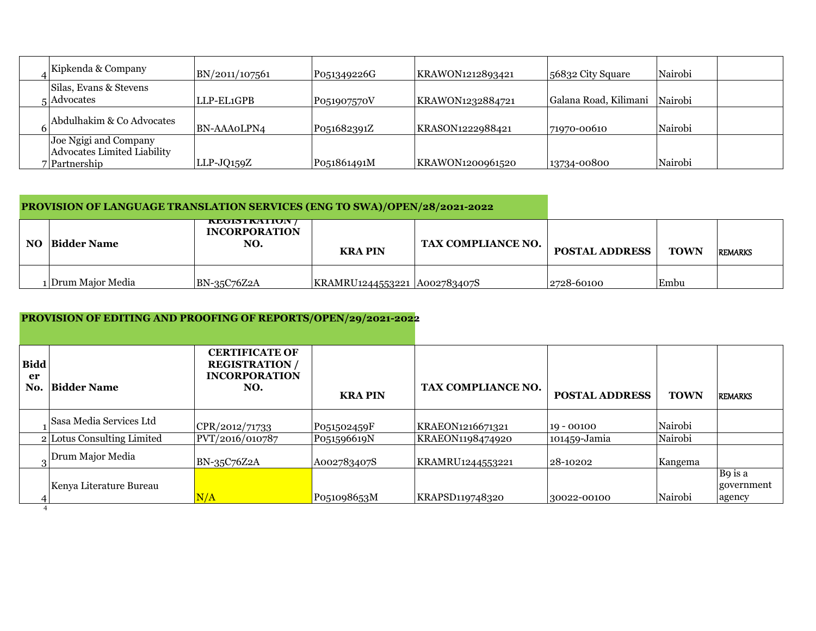| Kipkenda & Company                                          | BN/2011/107561     | P051349226G | KRAWON1212893421 | 56832 City Square     | Nairobi |
|-------------------------------------------------------------|--------------------|-------------|------------------|-----------------------|---------|
| Silas, Evans & Stevens                                      |                    |             |                  |                       |         |
| $\mathbf{z}$ Advocates                                      | LLP-EL1GPB         | P051907570V | KRAWON1232884721 | Galana Road, Kilimani | Nairobi |
| Abdulhakim & Co Advocates                                   | <b>BN-AAAoLPN4</b> | P051682391Z | KRASON1222988421 | 71970-00610           | Nairobi |
| Joe Ngigi and Company<br><b>Advocates Limited Liability</b> |                    |             |                  |                       |         |
| 7 Partnership                                               | $LLP-JQ159Z$       | P051861491M | KRAWON1200961520 | 13734-00800           | Nairobi |

# PROVISION OF LANGUAGE TRANSLATION SERVICES (ENG TO SWA)/OPEN/28/2021-2022

| <b>Bidder Name</b><br>NO. | KEUISI KAI IUN /<br><b>INCORPORATION</b><br>NO. | <b>KRAPIN</b>                | TAX COMPLIANCE NO. | <b>POSTAL ADDRESS</b> | <b>TOWN</b><br><b>REMARKS</b> |
|---------------------------|-------------------------------------------------|------------------------------|--------------------|-----------------------|-------------------------------|
| 1 Drum Major Media        | BN-35C76Z2A                                     | KRAMRU1244553221 A002783407S |                    | 2728-60100            | Embu                          |

## **PROVISION OF EDITING AND PROOFING OF REPORTS/OPEN/29/2021-2022**

| <b>Bidd</b><br>er<br>No. | <b>Bidder Name</b>         | <b>CERTIFICATE OF</b><br><b>REGISTRATION</b> /<br><b>INCORPORATION</b><br>NO. | <b>KRAPIN</b> | TAX COMPLIANCE NO. | <b>POSTAL ADDRESS</b> | <b>TOWN</b> | <b>REMARKS</b>                  |
|--------------------------|----------------------------|-------------------------------------------------------------------------------|---------------|--------------------|-----------------------|-------------|---------------------------------|
|                          | Sasa Media Services Ltd    | CPR/2012/71733                                                                | P051502459F   | KRAEON1216671321   | $19 - 00100$          | Nairobi     |                                 |
|                          | 2 Lotus Consulting Limited | PVT/2016/010787                                                               | P051596619N   | KRAEON1198474920   | 101459-Jamia          | Nairobi     |                                 |
|                          | Drum Major Media           | BN-35C76Z2A                                                                   | A002783407S   | KRAMRU1244553221   | 28-10202              | Kangema     |                                 |
|                          | Kenya Literature Bureau    | N/A                                                                           | P051098653M   | KRAPSD119748320    | 30022-00100           | Nairobi     | Bo is a<br>government<br>agency |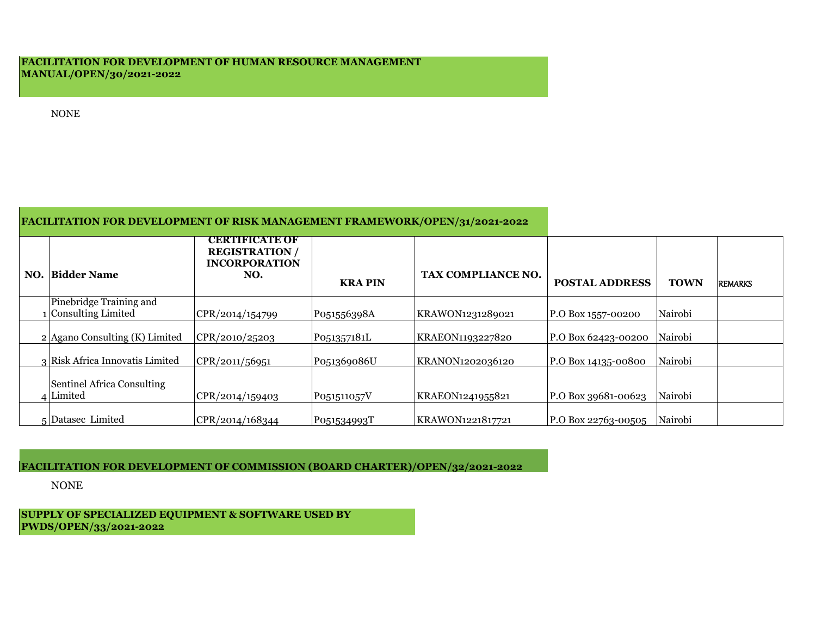#### **FACILITATION FOR DEVELOPMENT OF HUMAN RESOURCE MANAGEMENT MANUAL/OPEN/30/2021-2022**

NONE

#### **FACILITATION FOR DEVELOPMENT OF RISK MANAGEMENT FRAMEWORK/OPEN/31/2021-2022**

| NO. | <b>Bidder Name</b>                      | <b>CERTIFICATE OF</b><br><b>REGISTRATION /</b><br><b>INCORPORATION</b><br>NO. | <b>KRAPIN</b> | TAX COMPLIANCE NO.      | <b>POSTAL ADDRESS</b> | <b>TOWN</b> | <b>REMARKS</b> |
|-----|-----------------------------------------|-------------------------------------------------------------------------------|---------------|-------------------------|-----------------------|-------------|----------------|
|     | Pinebridge Training and                 |                                                                               |               |                         |                       |             |                |
|     | <b>Consulting Limited</b>               | CPR/2014/154799                                                               | P051556398A   | KRAWON1231289021        | P.O Box 1557-00200    | Nairobi     |                |
|     | $2$ Agano Consulting (K) Limited        | CPR/2010/25203                                                                | P051357181L   | KRAEON1193227820        | P.O Box 62423-00200   | Nairobi     |                |
|     | 3 Risk Africa Innovatis Limited         | CPR/2011/56951                                                                | P051369086U   | KRANON1202036120        | P.O Box 14135-00800   | Nairobi     |                |
|     | Sentinel Africa Consulting<br>4 Limited | CPR/2014/159403                                                               | P051511057V   | KRAEON1241955821        | P.O Box 39681-00623   | Nairobi     |                |
|     | 5 Datasec Limited                       | CPR/2014/168344                                                               | P051534993T   | <b>KRAWON1221817721</b> | P.O Box 22763-00505   | Nairobi     |                |

#### **FACILITATION FOR DEVELOPMENT OF COMMISSION (BOARD CHARTER)/OPEN/32/2021-2022**

NONE

#### **SUPPLY OF SPECIALIZED EQUIPMENT & SOFTWARE USED BY PWDS/OPEN/33/2021-2022**